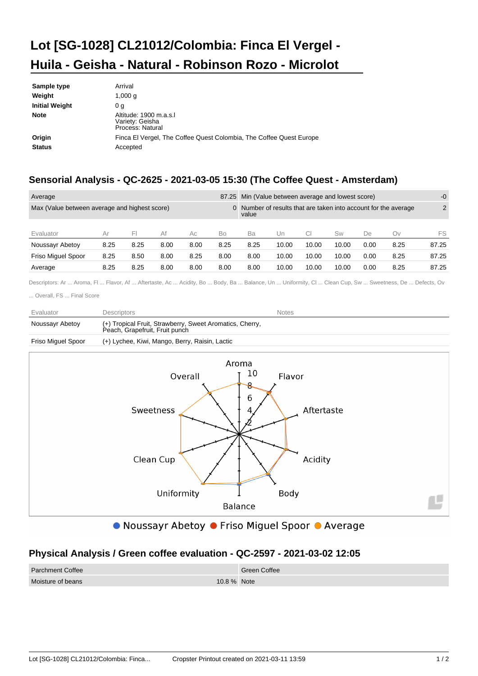## **Lot [SG-1028] CL21012/Colombia: Finca El Vergel - Huila - Geisha - Natural - Robinson Rozo - Microlot**

| Sample type             | Arrival                                                                         |
|-------------------------|---------------------------------------------------------------------------------|
| Weight                  | 1,000 $q$                                                                       |
| <b>Initial Weight</b>   | 0 a                                                                             |
| <b>Note</b>             | Altitude: 1900 m.a.s.l<br>Variety: Geisha<br>Process: Natural                   |
| Origin<br><b>Status</b> | Finca El Vergel, The Coffee Quest Colombia, The Coffee Quest Europe<br>Accepted |

## **Sensorial Analysis - QC-2625 - 2021-03-05 15:30 (The Coffee Quest - Amsterdam)**

| 87.25<br>Average                              |      |      |      |                                                                          | Min (Value between average and lowest score) |      |       |           | $-0$  |      |      |       |
|-----------------------------------------------|------|------|------|--------------------------------------------------------------------------|----------------------------------------------|------|-------|-----------|-------|------|------|-------|
| Max (Value between average and highest score) |      |      |      | 0 Number of results that are taken into account for the average<br>value |                                              |      |       | 2         |       |      |      |       |
| Evaluator                                     | Ar   | ьı   | Af   | Aс                                                                       | Bo                                           | Ba   | Un    | <b>CI</b> | Sw    | De   | Ov   | FS    |
| Noussayr Abetoy                               | 8.25 | 8.25 | 8.00 | 8.00                                                                     | 8.25                                         | 8.25 | 10.00 | 10.00     | 10.00 | 0.00 | 8.25 | 87.25 |
| <b>Friso Miguel Spoor</b>                     | 8.25 | 8.50 | 8.00 | 8.25                                                                     | 8.00                                         | 8.00 | 10.00 | 10.00     | 10.00 | 0.00 | 8.25 | 87.25 |
| Average                                       | 8.25 | 8.25 | 8.00 | 8.00                                                                     | 8.00                                         | 8.00 | 10.00 | 10.00     | 10.00 | 0.00 | 8.25 | 87.25 |

Descriptors: Ar ... Aroma, Fl ... Flavor, Af ... Aftertaste, Ac ... Acidity, Bo ... Body, Ba ... Balance, Un ... Uniformity, Cl ... Clean Cup, Sw ... Sweetness, De ... Defects, Ov

... Overall, FS ... Final Score

| Evaluator          | Descriptors                                                                                | <b>Notes</b> |
|--------------------|--------------------------------------------------------------------------------------------|--------------|
| Noussayr Abetoy    | (+) Tropical Fruit, Strawberry, Sweet Aromatics, Cherry,<br>Peach. Grapefruit. Fruit punch |              |
| Friso Miguel Spoor | (+) Lychee, Kiwi, Mango, Berry, Raisin, Lactic                                             |              |



● Noussayr Abetoy ● Friso Miguel Spoor ● Average

## **Physical Analysis / Green coffee evaluation - QC-2597 - 2021-03-02 12:05**

| <b>Parchment Coffee</b> |             | Green Coffee |
|-------------------------|-------------|--------------|
| Moisture of beans       | 10.8 % Note |              |